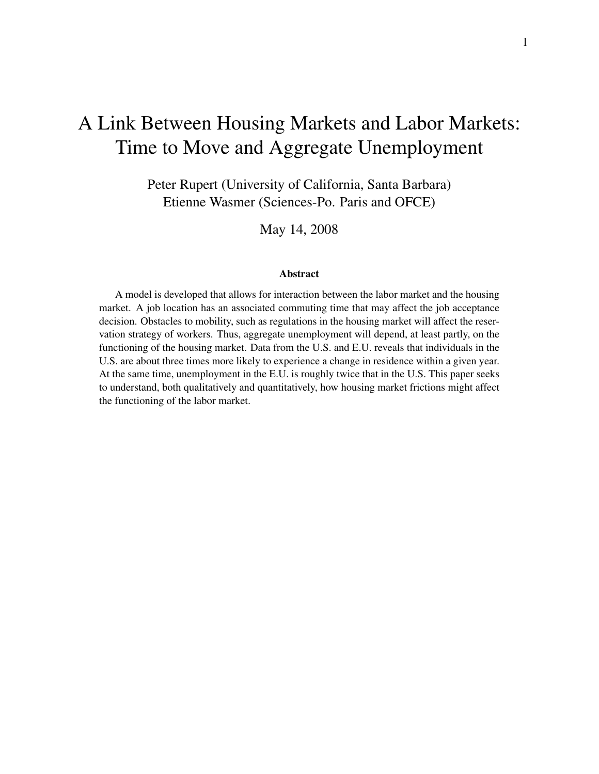# A Link Between Housing Markets and Labor Markets: Time to Move and Aggregate Unemployment

Peter Rupert (University of California, Santa Barbara) Etienne Wasmer (Sciences-Po. Paris and OFCE)

May 14, 2008

#### Abstract

A model is developed that allows for interaction between the labor market and the housing market. A job location has an associated commuting time that may affect the job acceptance decision. Obstacles to mobility, such as regulations in the housing market will affect the reservation strategy of workers. Thus, aggregate unemployment will depend, at least partly, on the functioning of the housing market. Data from the U.S. and E.U. reveals that individuals in the U.S. are about three times more likely to experience a change in residence within a given year. At the same time, unemployment in the E.U. is roughly twice that in the U.S. This paper seeks to understand, both qualitatively and quantitatively, how housing market frictions might affect the functioning of the labor market.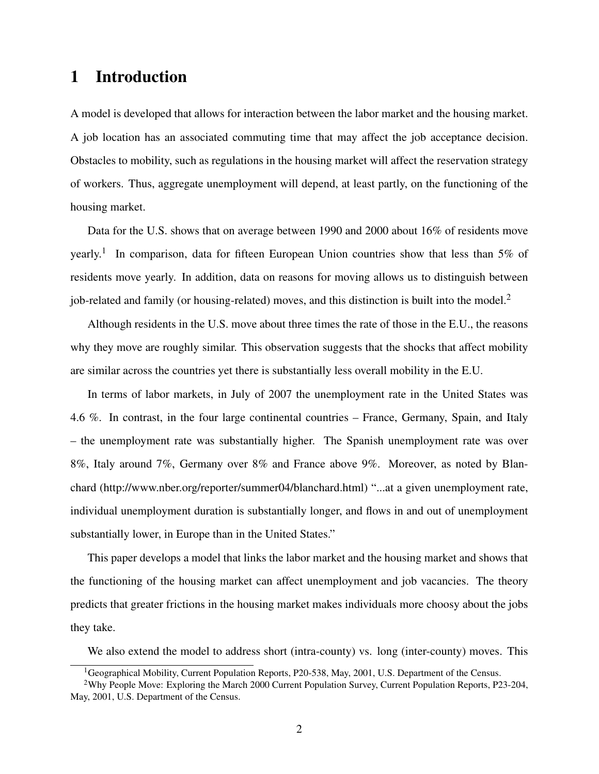# 1 Introduction

A model is developed that allows for interaction between the labor market and the housing market. A job location has an associated commuting time that may affect the job acceptance decision. Obstacles to mobility, such as regulations in the housing market will affect the reservation strategy of workers. Thus, aggregate unemployment will depend, at least partly, on the functioning of the housing market.

Data for the U.S. shows that on average between 1990 and 2000 about 16% of residents move yearly.<sup>1</sup> In comparison, data for fifteen European Union countries show that less than 5% of residents move yearly. In addition, data on reasons for moving allows us to distinguish between job-related and family (or housing-related) moves, and this distinction is built into the model.<sup>2</sup>

Although residents in the U.S. move about three times the rate of those in the E.U., the reasons why they move are roughly similar. This observation suggests that the shocks that affect mobility are similar across the countries yet there is substantially less overall mobility in the E.U.

In terms of labor markets, in July of 2007 the unemployment rate in the United States was 4.6 %. In contrast, in the four large continental countries – France, Germany, Spain, and Italy – the unemployment rate was substantially higher. The Spanish unemployment rate was over 8%, Italy around 7%, Germany over 8% and France above 9%. Moreover, as noted by Blanchard (http://www.nber.org/reporter/summer04/blanchard.html) "...at a given unemployment rate, individual unemployment duration is substantially longer, and flows in and out of unemployment substantially lower, in Europe than in the United States."

This paper develops a model that links the labor market and the housing market and shows that the functioning of the housing market can affect unemployment and job vacancies. The theory predicts that greater frictions in the housing market makes individuals more choosy about the jobs they take.

We also extend the model to address short (intra-county) vs. long (inter-county) moves. This

<sup>&</sup>lt;sup>1</sup>Geographical Mobility, Current Population Reports, P20-538, May, 2001, U.S. Department of the Census.

<sup>2</sup>Why People Move: Exploring the March 2000 Current Population Survey, Current Population Reports, P23-204, May, 2001, U.S. Department of the Census.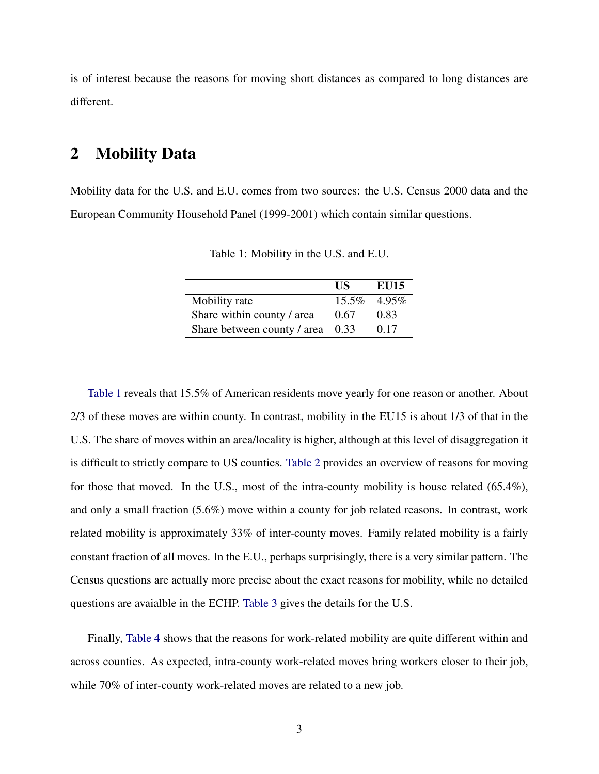is of interest because the reasons for moving short distances as compared to long distances are different.

## 2 Mobility Data

Mobility data for the U.S. and E.U. comes from two sources: the U.S. Census 2000 data and the European Community Household Panel (1999-2001) which contain similar questions.

|                             | <b>IIS</b> | EU15        |
|-----------------------------|------------|-------------|
| Mobility rate               |            | 15.5% 4.95% |
| Share within county / area  | 0.67       | 0.83        |
| Share between county / area | 0.33       | 0.17        |

<span id="page-2-0"></span>Table 1: Mobility in the U.S. and E.U.

[Table 1](#page-2-0) reveals that 15.5% of American residents move yearly for one reason or another. About 2/3 of these moves are within county. In contrast, mobility in the EU15 is about 1/3 of that in the U.S. The share of moves within an area/locality is higher, although at this level of disaggregation it is difficult to strictly compare to US counties. [Table 2](#page-3-0) provides an overview of reasons for moving for those that moved. In the U.S., most of the intra-county mobility is house related (65.4%), and only a small fraction (5.6%) move within a county for job related reasons. In contrast, work related mobility is approximately 33% of inter-county moves. Family related mobility is a fairly constant fraction of all moves. In the E.U., perhaps surprisingly, there is a very similar pattern. The Census questions are actually more precise about the exact reasons for mobility, while no detailed questions are avaialble in the ECHP. [Table 3](#page-3-1) gives the details for the U.S.

Finally, [Table 4](#page-3-2) shows that the reasons for work-related mobility are quite different within and across counties. As expected, intra-county work-related moves bring workers closer to their job, while 70% of inter-county work-related moves are related to a new job.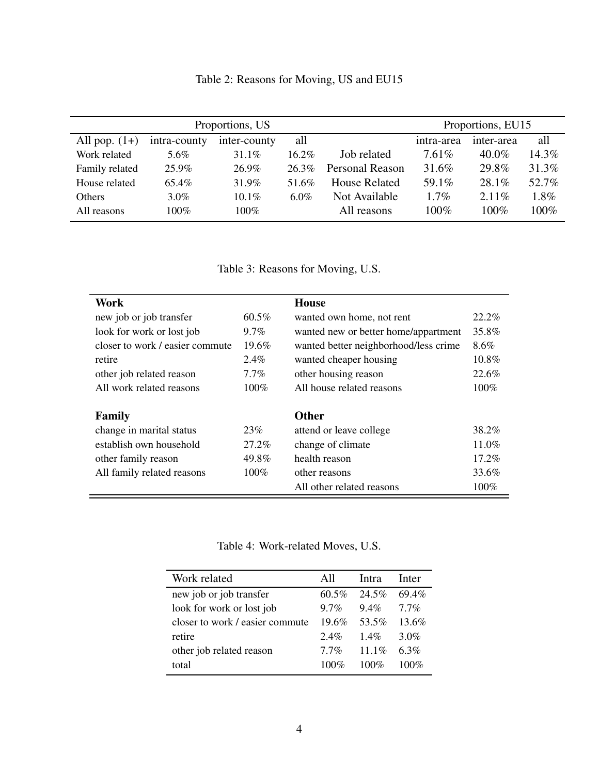<span id="page-3-0"></span>

| Proportions, US |              |              |          | Proportions, EU15      |            |            |         |
|-----------------|--------------|--------------|----------|------------------------|------------|------------|---------|
| All pop. $(1+)$ | intra-county | inter-county | all      |                        | intra-area | inter-area | all     |
| Work related    | 5.6%         | 31.1%        | $16.2\%$ | Job related            | $7.61\%$   | 40.0%      | 14.3%   |
| Family related  | 25.9%        | 26.9%        | $26.3\%$ | <b>Personal Reason</b> | 31.6%      | 29.8%      | 31.3%   |
| House related   | 65.4%        | 31.9%        | 51.6%    | <b>House Related</b>   | 59.1%      | 28.1%      | 52.7%   |
| <b>Others</b>   | $3.0\%$      | $10.1\%$     | $6.0\%$  | Not Available          | $1.7\%$    | $2.11\%$   | $1.8\%$ |
| All reasons     | 100%         | $100\%$      |          | All reasons            | 100%       | 100%       | $100\%$ |

<span id="page-3-1"></span>Table 3: Reasons for Moving, U.S.

| Work                            |          | <b>House</b>                          |          |
|---------------------------------|----------|---------------------------------------|----------|
| new job or job transfer         | $60.5\%$ | wanted own home, not rent             | $22.2\%$ |
| look for work or lost job       | $9.7\%$  | wanted new or better home/appartment  | 35.8%    |
| closer to work / easier commute | $19.6\%$ | wanted better neighborhood/less crime | 8.6%     |
| retire                          | 2.4%     | wanted cheaper housing                | 10.8%    |
| other job related reason        | $7.7\%$  | other housing reason                  | 22.6%    |
| All work related reasons        | $100\%$  | All house related reasons             | $100\%$  |
|                                 |          |                                       |          |
| Family                          |          | <b>Other</b>                          |          |
| change in marital status        | 23%      | attend or leave college               | 38.2%    |
| establish own household         | 27.2%    | change of climate                     | 11.0%    |
| other family reason             | 49.8%    | health reason                         | 17.2%    |
| All family related reasons      | $100\%$  | other reasons                         | 33.6%    |
|                                 |          | All other related reasons             | 100%     |

<span id="page-3-2"></span>Table 4: Work-related Moves, U.S.

| Work related                    | All      | <b>Intra</b> | Inter   |
|---------------------------------|----------|--------------|---------|
| new job or job transfer         | $60.5\%$ | 24.5%        | 69.4%   |
| look for work or lost job       | $9.7\%$  | $9.4\%$      | $77\%$  |
| closer to work / easier commute | $196\%$  | 53.5%        | 13.6%   |
| retire                          | $2.4\%$  | 14%          | 3.0%    |
| other job related reason        | $7.7\%$  | $11.1\%$     | 63%     |
| total                           | $100\%$  | $100\%$      | $100\%$ |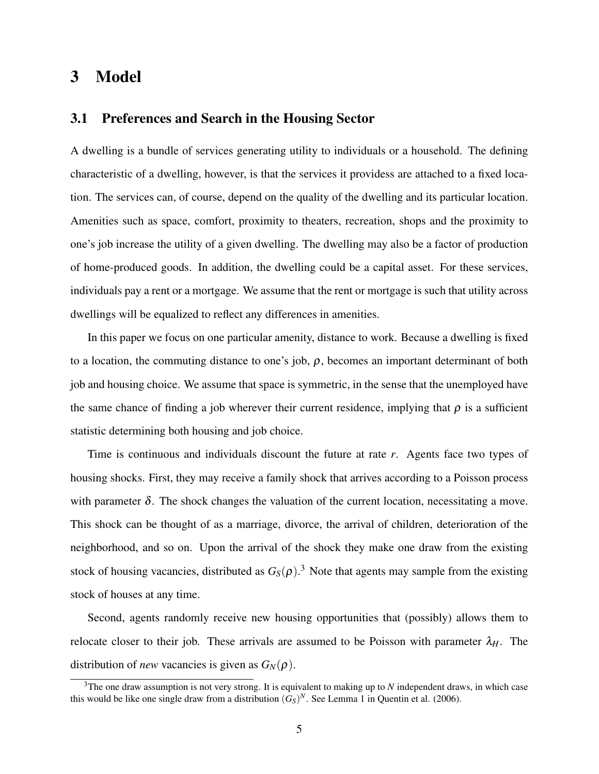## 3 Model

### 3.1 Preferences and Search in the Housing Sector

A dwelling is a bundle of services generating utility to individuals or a household. The defining characteristic of a dwelling, however, is that the services it providess are attached to a fixed location. The services can, of course, depend on the quality of the dwelling and its particular location. Amenities such as space, comfort, proximity to theaters, recreation, shops and the proximity to one's job increase the utility of a given dwelling. The dwelling may also be a factor of production of home-produced goods. In addition, the dwelling could be a capital asset. For these services, individuals pay a rent or a mortgage. We assume that the rent or mortgage is such that utility across dwellings will be equalized to reflect any differences in amenities.

In this paper we focus on one particular amenity, distance to work. Because a dwelling is fixed to a location, the commuting distance to one's job,  $\rho$ , becomes an important determinant of both job and housing choice. We assume that space is symmetric, in the sense that the unemployed have the same chance of finding a job wherever their current residence, implying that  $\rho$  is a sufficient statistic determining both housing and job choice.

Time is continuous and individuals discount the future at rate *r*. Agents face two types of housing shocks. First, they may receive a family shock that arrives according to a Poisson process with parameter  $\delta$ . The shock changes the valuation of the current location, necessitating a move. This shock can be thought of as a marriage, divorce, the arrival of children, deterioration of the neighborhood, and so on. Upon the arrival of the shock they make one draw from the existing stock of housing vacancies, distributed as  $G_S(\rho)$ .<sup>3</sup> Note that agents may sample from the existing stock of houses at any time.

Second, agents randomly receive new housing opportunities that (possibly) allows them to relocate closer to their job. These arrivals are assumed to be Poisson with parameter  $\lambda_H$ . The distribution of *new* vacancies is given as  $G_N(\rho)$ .

 $3$ The one draw assumption is not very strong. It is equivalent to making up to  $N$  independent draws, in which case this would be like one single draw from a distribution  $(G<sub>S</sub>)<sup>N</sup>$ . See Lemma 1 in Quentin et al. (2006).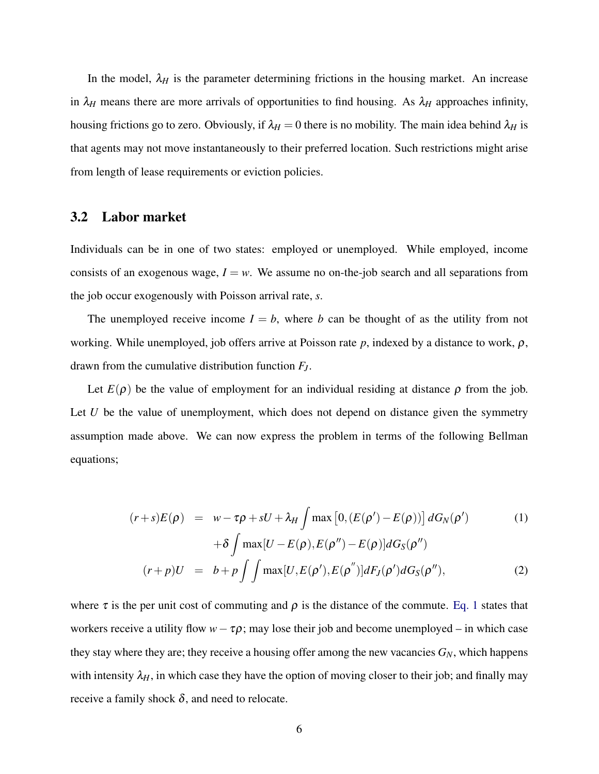In the model,  $\lambda_H$  is the parameter determining frictions in the housing market. An increase in  $\lambda_H$  means there are more arrivals of opportunities to find housing. As  $\lambda_H$  approaches infinity, housing frictions go to zero. Obviously, if  $\lambda_H = 0$  there is no mobility. The main idea behind  $\lambda_H$  is that agents may not move instantaneously to their preferred location. Such restrictions might arise from length of lease requirements or eviction policies.

### 3.2 Labor market

Individuals can be in one of two states: employed or unemployed. While employed, income consists of an exogenous wage,  $I = w$ . We assume no on-the-job search and all separations from the job occur exogenously with Poisson arrival rate, *s*.

The unemployed receive income  $I = b$ , where *b* can be thought of as the utility from not working. While unemployed, job offers arrive at Poisson rate  $p$ , indexed by a distance to work,  $\rho$ , drawn from the cumulative distribution function *FJ*.

Let  $E(\rho)$  be the value of employment for an individual residing at distance  $\rho$  from the job. Let *U* be the value of unemployment, which does not depend on distance given the symmetry assumption made above. We can now express the problem in terms of the following Bellman equations;

<span id="page-5-0"></span>
$$
(r+s)E(\rho) = w - \tau \rho + sU + \lambda_H \int \max\left[0, (E(\rho') - E(\rho))\right] dG_N(\rho')
$$
 (1)

$$
+\delta \int \max[U - E(\rho), E(\rho'') - E(\rho)] dG_S(\rho'')
$$
  

$$
(r+p)U = b + p \int \int \max[U, E(\rho'), E(\rho'')] dF_J(\rho') dG_S(\rho''),
$$
 (2)

where  $\tau$  is the per unit cost of commuting and  $\rho$  is the distance of the commute. [Eq. 1](#page-5-0) states that workers receive a utility flow  $w - \tau \rho$ ; may lose their job and become unemployed – in which case they stay where they are; they receive a housing offer among the new vacancies *GN*, which happens with intensity  $\lambda_H$ , in which case they have the option of moving closer to their job; and finally may receive a family shock  $\delta$ , and need to relocate.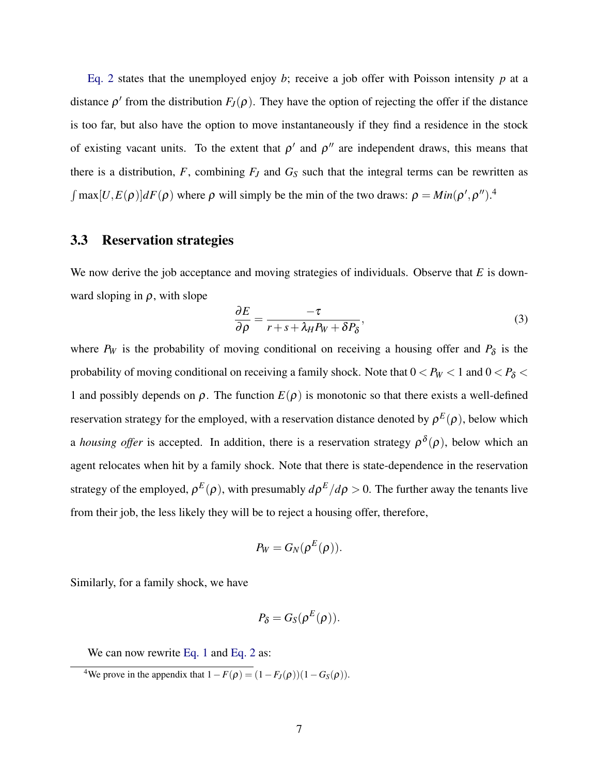[Eq. 2](#page-5-0) states that the unemployed enjoy *b*; receive a job offer with Poisson intensity  $p$  at a distance  $\rho'$  from the distribution  $F_J(\rho)$ . They have the option of rejecting the offer if the distance is too far, but also have the option to move instantaneously if they find a residence in the stock of existing vacant units. To the extent that  $\rho'$  and  $\rho''$  are independent draws, this means that there is a distribution,  $F$ , combining  $F$ *J* and  $G$ <sup>S</sup> such that the integral terms can be rewritten as  $\int \max[U, E(\rho)] dF(\rho)$  where  $\rho$  will simply be the min of the two draws:  $\rho = Min(\rho', \rho'')$ .<sup>4</sup>

#### 3.3 Reservation strategies

We now derive the job acceptance and moving strategies of individuals. Observe that *E* is downward sloping in  $\rho$ , with slope

$$
\frac{\partial E}{\partial \rho} = \frac{-\tau}{r + s + \lambda_H P_W + \delta P_\delta},\tag{3}
$$

where  $P_W$  is the probability of moving conditional on receiving a housing offer and  $P_\delta$  is the probability of moving conditional on receiving a family shock. Note that  $0 < P_W < 1$  and  $0 < P_\delta <$ 1 and possibly depends on  $\rho$ . The function  $E(\rho)$  is monotonic so that there exists a well-defined reservation strategy for the employed, with a reservation distance denoted by  $\rho^{E}(\rho)$ , below which a *housing offer* is accepted. In addition, there is a reservation strategy  $\rho^{\delta}(\rho)$ , below which an agent relocates when hit by a family shock. Note that there is state-dependence in the reservation strategy of the employed,  $\rho^E(\rho)$ , with presumably  $d\rho^E/d\rho > 0$ . The further away the tenants live from their job, the less likely they will be to reject a housing offer, therefore,

$$
P_W = G_N(\rho^E(\rho)).
$$

Similarly, for a family shock, we have

$$
P_{\delta}=G_{S}(\rho^{E}(\rho)).
$$

We can now rewrite [Eq. 1](#page-5-0) and [Eq. 2](#page-5-0) as:

<sup>&</sup>lt;sup>4</sup>We prove in the appendix that  $1 - F(\rho) = (1 - F_J(\rho))(1 - G_S(\rho)).$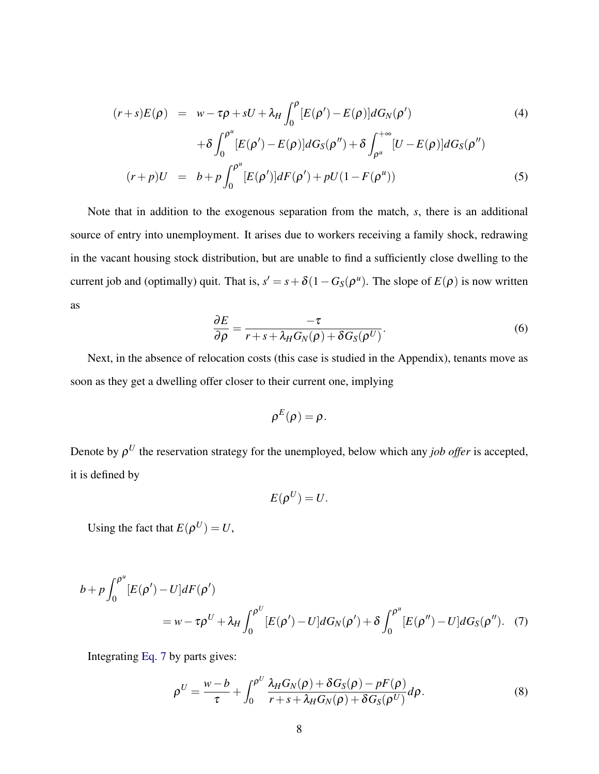$$
(r+s)E(\rho) = w - \tau \rho + sU + \lambda_H \int_0^{\rho} [E(\rho') - E(\rho)] dG_N(\rho')
$$
\n
$$
+ \delta \int_0^{\rho^u} [E(\rho') - E(\rho)] dG_S(\rho'') + \delta \int_{\rho^u}^{+\infty} [U - E(\rho)] dG_S(\rho'')
$$
\n
$$
(r+p)U = b + p \int_0^{\rho^u} [E(\rho')] dF(\rho') + pU(1 - F(\rho^u))
$$
\n(5)

Note that in addition to the exogenous separation from the match, *s*, there is an additional source of entry into unemployment. It arises due to workers receiving a family shock, redrawing in the vacant housing stock distribution, but are unable to find a sufficiently close dwelling to the current job and (optimally) quit. That is,  $s' = s + \delta(1 - G_S(\rho^u))$ . The slope of  $E(\rho)$  is now written as

$$
\frac{\partial E}{\partial \rho} = \frac{-\tau}{r + s + \lambda_H G_N(\rho) + \delta G_S(\rho^U)}.
$$
\n(6)

Next, in the absence of relocation costs (this case is studied in the Appendix), tenants move as soon as they get a dwelling offer closer to their current one, implying

$$
\rho^E(\rho)=\rho.
$$

Denote by  $\rho^U$  the reservation strategy for the unemployed, below which any *job offer* is accepted, it is defined by

<span id="page-7-0"></span>
$$
E(\rho^U)=U.
$$

Using the fact that  $E(\rho^U) = U$ ,

$$
b + p \int_0^{\rho^u} [E(\rho') - U] dF(\rho')
$$
  
=  $w - \tau \rho^U + \lambda_H \int_0^{\rho^U} [E(\rho') - U] dG_N(\rho') + \delta \int_0^{\rho^u} [E(\rho'') - U] dG_S(\rho'')$ . (7)

Integrating [Eq. 7](#page-7-0) by parts gives:

<span id="page-7-1"></span>
$$
\rho^{U} = \frac{w - b}{\tau} + \int_0^{\rho^{U}} \frac{\lambda_H G_N(\rho) + \delta G_S(\rho) - pF(\rho)}{r + s + \lambda_H G_N(\rho) + \delta G_S(\rho^{U})} d\rho.
$$
\n(8)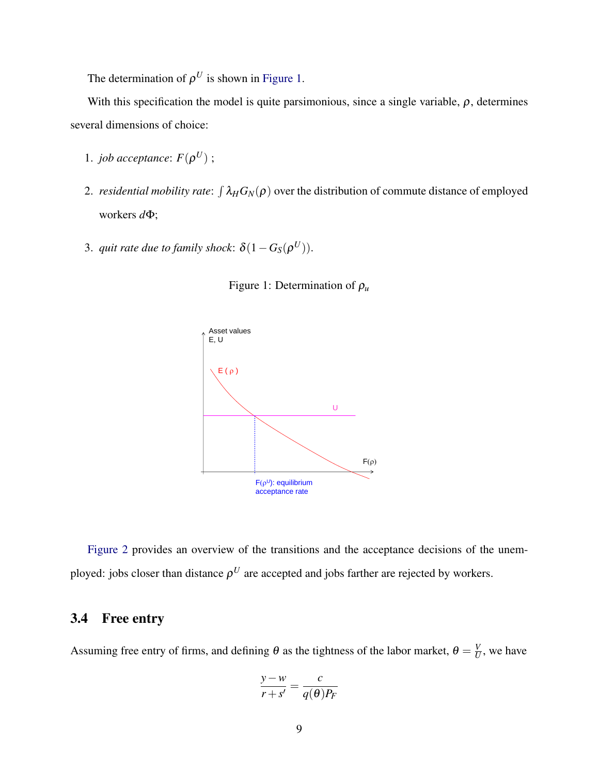The determination of  $\rho^U$  is shown in [Figure 1.](#page-8-0)

With this specification the model is quite parsimonious, since a single variable,  $\rho$ , determines several dimensions of choice:

- 1. *job acceptance*:  $F(\rho^U)$ ;
- 2. *residential mobility rate*:  $\int \lambda_H G_N(\rho)$  over the distribution of commute distance of employed workers *d*Φ;
- 3. *quit rate due to family shock*:  $\delta(1 G_S(\rho^U))$ .



<span id="page-8-0"></span>

[Figure 2](#page-9-0) provides an overview of the transitions and the acceptance decisions of the unemployed: jobs closer than distance  $\rho^U$  are accepted and jobs farther are rejected by workers.

### 3.4 Free entry

Assuming free entry of firms, and defining  $\theta$  as the tightness of the labor market,  $\theta = \frac{V}{U}$  $\frac{V}{U}$ , we have

$$
\frac{y - w}{r + s'} = \frac{c}{q(\theta)P_F}
$$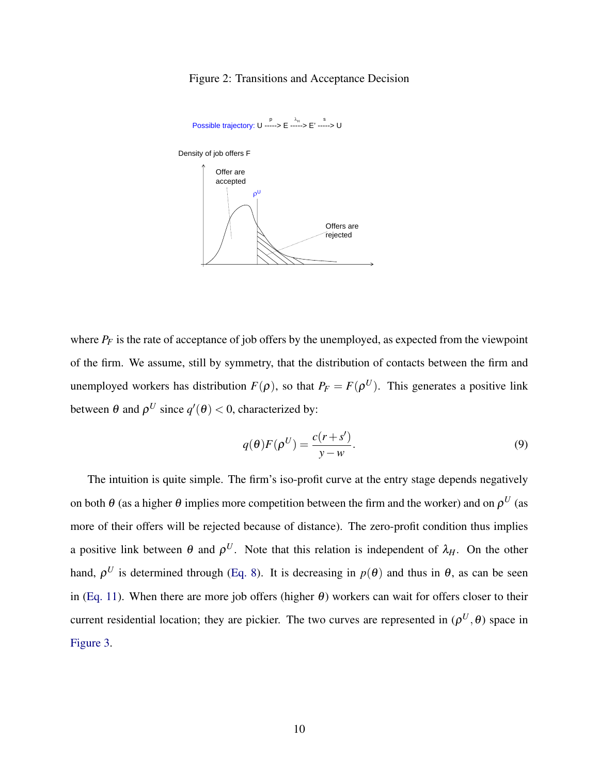#### <span id="page-9-0"></span>Figure 2: Transitions and Acceptance Decision



where  $P_F$  is the rate of acceptance of job offers by the unemployed, as expected from the viewpoint of the firm. We assume, still by symmetry, that the distribution of contacts between the firm and unemployed workers has distribution  $F(\rho)$ , so that  $P_F = F(\rho^U)$ . This generates a positive link between  $\theta$  and  $\rho^U$  since  $q'(\theta) < 0$ , characterized by:

<span id="page-9-1"></span>
$$
q(\theta)F(\rho^U) = \frac{c(r+s')}{y-w}.
$$
\n(9)

The intuition is quite simple. The firm's iso-profit curve at the entry stage depends negatively on both  $\theta$  (as a higher  $\theta$  implies more competition between the firm and the worker) and on  $\rho^U$  (as more of their offers will be rejected because of distance). The zero-profit condition thus implies a positive link between  $\theta$  and  $\rho^U$ . Note that this relation is independent of  $\lambda_H$ . On the other hand,  $\rho^U$  is determined through [\(Eq. 8\)](#page-7-1). It is decreasing in  $p(\theta)$  and thus in  $\theta$ , as can be seen in [\(Eq. 11\)](#page-11-0). When there are more job offers (higher  $\theta$ ) workers can wait for offers closer to their current residential location; they are pickier. The two curves are represented in  $(\rho^U, \theta)$  space in [Figure 3.](#page-10-0)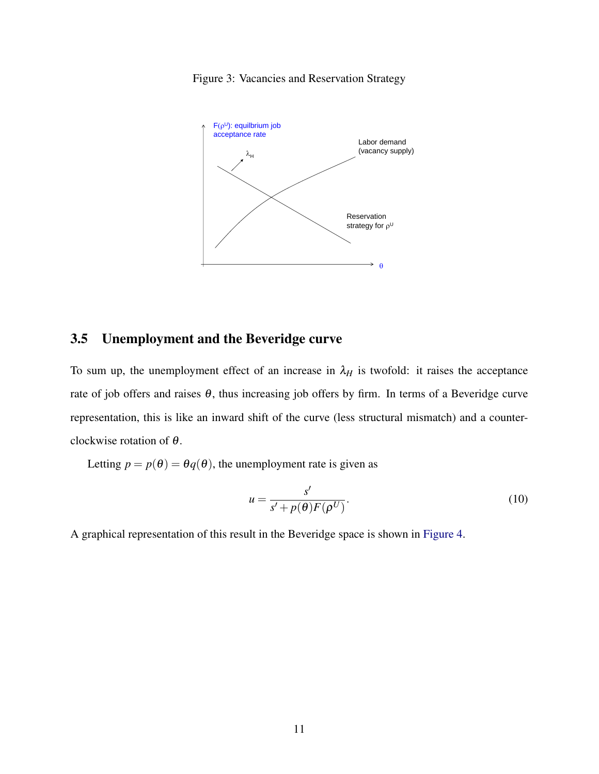

<span id="page-10-0"></span>Figure 3: Vacancies and Reservation Strategy

### 3.5 Unemployment and the Beveridge curve

To sum up, the unemployment effect of an increase in  $\lambda_H$  is twofold: it raises the acceptance rate of job offers and raises  $\theta$ , thus increasing job offers by firm. In terms of a Beveridge curve representation, this is like an inward shift of the curve (less structural mismatch) and a counterclockwise rotation of θ.

Letting  $p = p(\theta) = \theta q(\theta)$ , the unemployment rate is given as

<span id="page-10-1"></span>
$$
u = \frac{s'}{s' + p(\theta)F(\rho^U)}.
$$
\n(10)

A graphical representation of this result in the Beveridge space is shown in [Figure 4.](#page-11-1)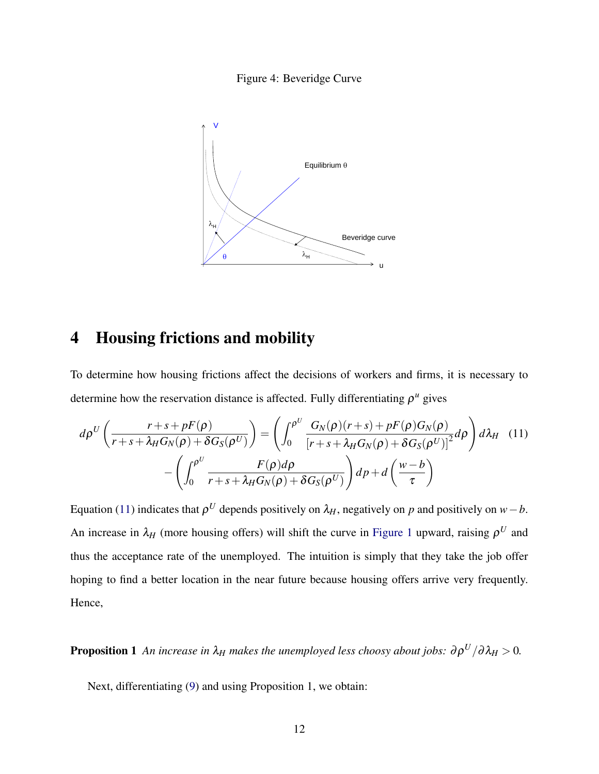#### <span id="page-11-1"></span>Figure 4: Beveridge Curve



# 4 Housing frictions and mobility

To determine how housing frictions affect the decisions of workers and firms, it is necessary to determine how the reservation distance is affected. Fully differentiating  $\rho^u$  gives

<span id="page-11-0"></span>
$$
d\rho^{U}\left(\frac{r+s+pF(\rho)}{r+s+\lambda_{H}G_{N}(\rho)+\delta G_{S}(\rho^{U})}\right) = \left(\int_{0}^{\rho^{U}} \frac{G_{N}(\rho)(r+s)+pF(\rho)G_{N}(\rho)}{\left[r+s+\lambda_{H}G_{N}(\rho)+\delta G_{S}(\rho^{U})\right]^{2}}d\rho\right) d\lambda_{H}
$$
(11)
$$
-\left(\int_{0}^{\rho^{U}} \frac{F(\rho)d\rho}{r+s+\lambda_{H}G_{N}(\rho)+\delta G_{S}(\rho^{U})}\right)dp+d\left(\frac{w-b}{\tau}\right)
$$

Equation [\(11\)](#page-11-0) indicates that  $\rho^U$  depends positively on  $\lambda_H$ , negatively on *p* and positively on *w*−*b*. An increase in  $\lambda_H$  (more housing offers) will shift the curve in [Figure 1](#page-8-0) upward, raising  $\rho^U$  and thus the acceptance rate of the unemployed. The intuition is simply that they take the job offer hoping to find a better location in the near future because housing offers arrive very frequently. Hence,

**Proposition 1** *An increase in*  $\lambda_H$  *makes the unemployed less choosy about jobs:*  $\partial \rho^U / \partial \lambda_H > 0$ *.* 

Next, differentiating [\(9\)](#page-9-1) and using Proposition 1, we obtain: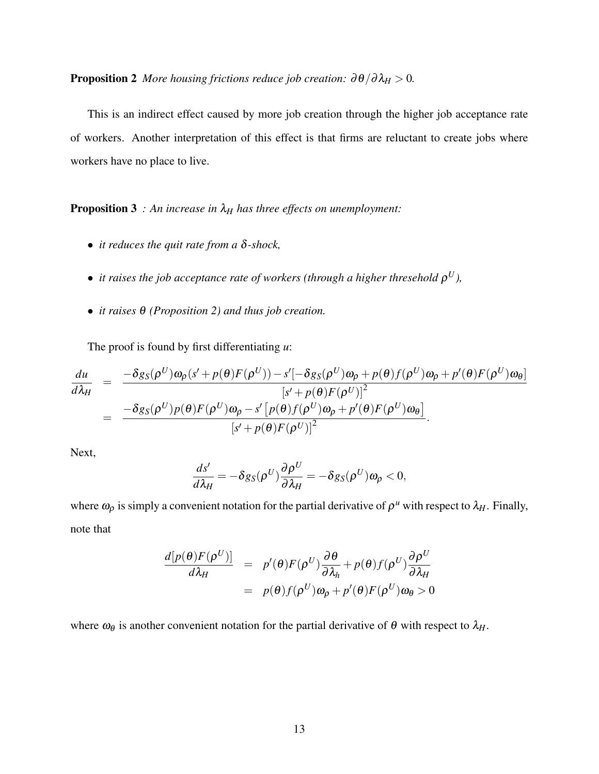**Proposition 2** *More housing frictions reduce job creation:*  $\partial \theta / \partial \lambda_H > 0$ *.* 

This is an indirect effect caused by more job creation through the higher job acceptance rate of workers. Another interpretation of this effect is that firms are reluctant to create jobs where workers have no place to live.

**Proposition 3** *: An increase in*  $\lambda_H$  *has three effects on unemployment:* 

- *it reduces the quit rate from a* δ*-shock,*
- $\bullet$  *it raises the job acceptance rate of workers (through a higher thresehold*  $\rho^{U}$ ),
- *it raises* θ *(Proposition 2) and thus job creation.*

The proof is found by first differentiating *u*:

$$
\frac{du}{d\lambda_H} = \frac{-\delta g_S(\rho^U)\omega_\rho(s' + p(\theta)F(\rho^U)) - s'[-\delta g_S(\rho^U)\omega_\rho + p(\theta)f(\rho^U)\omega_\rho + p'(\theta)F(\rho^U)\omega_\theta]}{[s' + p(\theta)F(\rho^U)]^2}
$$
  

$$
= \frac{-\delta g_S(\rho^U)p(\theta)F(\rho^U)\omega_\rho - s'\left[p(\theta)f(\rho^U)\omega_\rho + p'(\theta)F(\rho^U)\omega_\theta\right]}{[s' + p(\theta)F(\rho^U)]^2}.
$$

Next,

$$
\frac{ds'}{d\lambda_H} = -\delta g_S(\rho^U) \frac{\partial \rho^U}{\partial \lambda_H} = -\delta g_S(\rho^U) \omega_\rho < 0,
$$

where  $\omega_\rho$  is simply a convenient notation for the partial derivative of  $\rho^u$  with respect to  $\lambda_H$ . Finally, note that

$$
\frac{d[p(\theta)F(\rho^U)]}{d\lambda_H} = p'(\theta)F(\rho^U)\frac{\partial \theta}{\partial \lambda_h} + p(\theta)f(\rho^U)\frac{\partial \rho^U}{\partial \lambda_H}
$$
  
=  $p(\theta)f(\rho^U)\omega_\rho + p'(\theta)F(\rho^U)\omega_\theta > 0$ 

where  $\omega_\theta$  is another convenient notation for the partial derivative of  $\theta$  with respect to  $\lambda_H$ .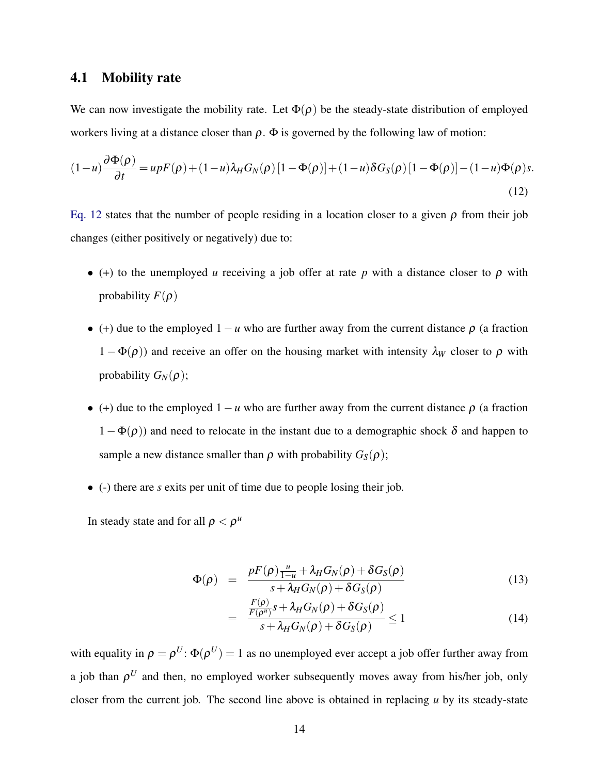### 4.1 Mobility rate

We can now investigate the mobility rate. Let  $\Phi(\rho)$  be the steady-state distribution of employed workers living at a distance closer than  $\rho$ .  $\Phi$  is governed by the following law of motion:

<span id="page-13-0"></span>
$$
(1-u)\frac{\partial \Phi(\rho)}{\partial t} = upF(\rho) + (1-u)\lambda_H G_N(\rho)[1-\Phi(\rho)] + (1-u)\delta G_S(\rho)[1-\Phi(\rho)] - (1-u)\Phi(\rho)s.
$$
\n(12)

[Eq. 12](#page-13-0) states that the number of people residing in a location closer to a given  $\rho$  from their job changes (either positively or negatively) due to:

- (+) to the unemployed *u* receiving a job offer at rate  $p$  with a distance closer to  $p$  with probability  $F(\rho)$
- (+) due to the employed  $1 u$  who are further away from the current distance  $\rho$  (a fraction  $1 - \Phi(\rho)$ ) and receive an offer on the housing market with intensity  $\lambda_W$  closer to  $\rho$  with probability  $G_N(\rho)$ ;
- (+) due to the employed  $1 u$  who are further away from the current distance  $\rho$  (a fraction  $(1 - \Phi(\rho))$  and need to relocate in the instant due to a demographic shock  $\delta$  and happen to sample a new distance smaller than  $\rho$  with probability  $G_S(\rho)$ ;
- (-) there are *s* exits per unit of time due to people losing their job.

In steady state and for all  $\rho < \rho^u$ 

$$
\Phi(\rho) = \frac{pF(\rho)\frac{u}{1-u} + \lambda_H G_N(\rho) + \delta G_S(\rho)}{s + \lambda_H G_N(\rho) + \delta G_S(\rho)}
$$
(13)

$$
= \frac{\frac{F(\rho)}{F(\rho^u)}s + \lambda_H G_N(\rho) + \delta G_S(\rho)}{s + \lambda_H G_N(\rho) + \delta G_S(\rho)} \le 1
$$
\n(14)

with equality in  $\rho = \rho^U$ :  $\Phi(\rho^U) = 1$  as no unemployed ever accept a job offer further away from a job than  $\rho^U$  and then, no employed worker subsequently moves away from his/her job, only closer from the current job. The second line above is obtained in replacing *u* by its steady-state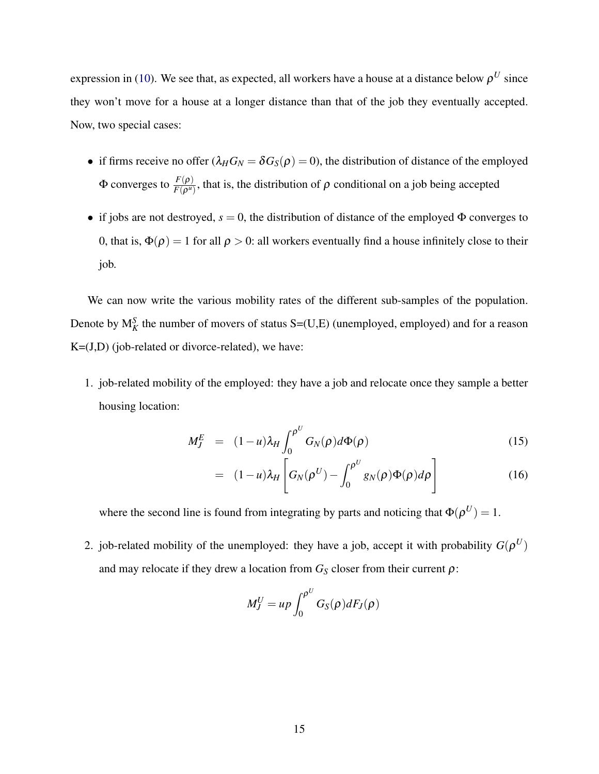expression in [\(10\)](#page-10-1). We see that, as expected, all workers have a house at a distance below  $\rho^U$  since they won't move for a house at a longer distance than that of the job they eventually accepted. Now, two special cases:

- if firms receive no offer  $(\lambda_H G_N = \delta G_S(\rho) = 0)$ , the distribution of distance of the employed Φ converges to  $\frac{F(\rho)}{F(\rho^u)}$ , that is, the distribution of  $\rho$  conditional on a job being accepted
- if jobs are not destroyed,  $s = 0$ , the distribution of distance of the employed  $\Phi$  converges to 0, that is,  $\Phi(\rho) = 1$  for all  $\rho > 0$ : all workers eventually find a house infinitely close to their job.

We can now write the various mobility rates of the different sub-samples of the population. Denote by  $M_K^S$  the number of movers of status  $S=(U,E)$  (unemployed, employed) and for a reason  $K=(J,D)$  (job-related or divorce-related), we have:

1. job-related mobility of the employed: they have a job and relocate once they sample a better housing location:

<span id="page-14-0"></span>
$$
M_J^E = (1 - u)\lambda_H \int_0^{\rho U} G_N(\rho) d\Phi(\rho)
$$
\n(15)

$$
= (1-u)\lambda_H \left[ G_N(\rho^U) - \int_0^{\rho^U} g_N(\rho) \Phi(\rho) d\rho \right]
$$
(16)

where the second line is found from integrating by parts and noticing that  $\Phi(\rho^U) = 1$ .

2. job-related mobility of the unemployed: they have a job, accept it with probability  $G(\rho^U)$ and may relocate if they drew a location from  $G<sub>S</sub>$  closer from their current  $\rho$ :

$$
M_J^U = up \int_0^{\rho^U} G_S(\rho) dF_J(\rho)
$$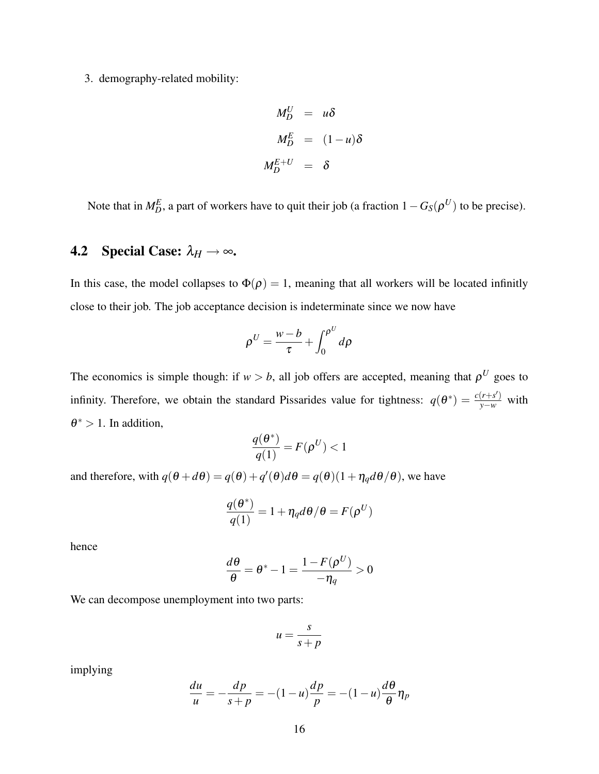3. demography-related mobility:

$$
M_D^U = u\delta
$$
  

$$
M_D^E = (1 - u)\delta
$$
  

$$
M_D^{E+U} = \delta
$$

Note that in  $M_D^E$ , a part of workers have to quit their job (a fraction  $1 - G_S(\rho^U)$  to be precise).

## 4.2 Special Case:  $\lambda_H \rightarrow \infty$ .

In this case, the model collapses to  $\Phi(\rho) = 1$ , meaning that all workers will be located infinitly close to their job. The job acceptance decision is indeterminate since we now have

$$
\rho^U = \frac{w - b}{\tau} + \int_0^{\rho^U} d\rho
$$

The economics is simple though: if  $w > b$ , all job offers are accepted, meaning that  $\rho^U$  goes to infinity. Therefore, we obtain the standard Pissarides value for tightness:  $q(\theta^*) = \frac{c(r+s')}{y-w}$  with  $\theta^* > 1$ . In addition,

$$
\frac{q(\boldsymbol{\theta}^*)}{q(1)} = F(\boldsymbol{\rho}^U) < 1
$$

and therefore, with  $q(\theta + d\theta) = q(\theta) + q'(\theta)d\theta = q(\theta)(1 + \eta_q d\theta/\theta)$ , we have

$$
\frac{q(\theta^*)}{q(1)} = 1 + \eta_q d\theta / \theta = F(\rho^U)
$$

hence

$$
\frac{d\theta}{\theta} = \theta^* - 1 = \frac{1 - F(\rho^U)}{-\eta_q} > 0
$$

We can decompose unemployment into two parts:

$$
u = \frac{s}{s+p}
$$

implying

$$
\frac{du}{u} = -\frac{dp}{s+p} = -(1-u)\frac{dp}{p} = -(1-u)\frac{d\theta}{\theta}\eta_p
$$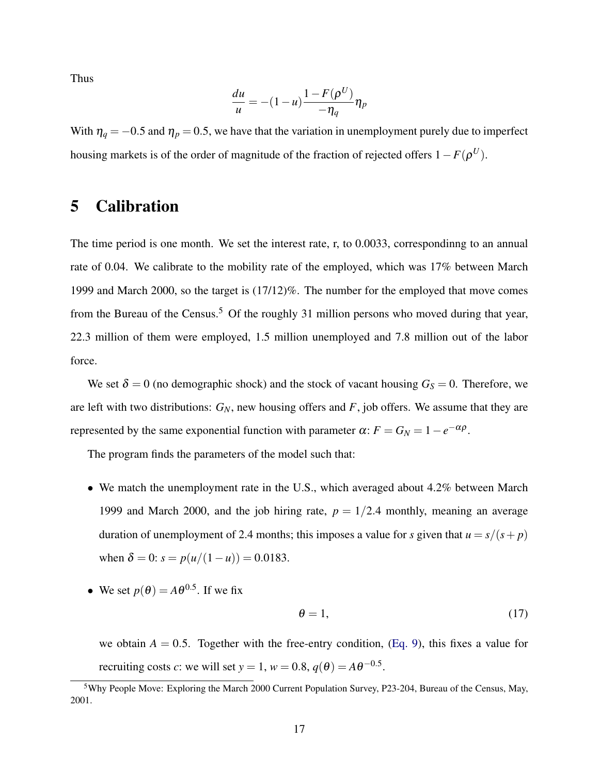Thus

$$
\frac{du}{u} = -(1-u)\frac{1-F(\rho^U)}{-\eta_q}\eta_p
$$

With  $\eta_q = -0.5$  and  $\eta_p = 0.5$ , we have that the variation in unemployment purely due to imperfect housing markets is of the order of magnitude of the fraction of rejected offers  $1-F(\rho^U)$ .

# 5 Calibration

The time period is one month. We set the interest rate, r, to 0.0033, correspondinng to an annual rate of 0.04. We calibrate to the mobility rate of the employed, which was 17% between March 1999 and March 2000, so the target is (17/12)%. The number for the employed that move comes from the Bureau of the Census.<sup>5</sup> Of the roughly 31 million persons who moved during that year, 22.3 million of them were employed, 1.5 million unemployed and 7.8 million out of the labor force.

We set  $\delta = 0$  (no demographic shock) and the stock of vacant housing  $G<sub>S</sub> = 0$ . Therefore, we are left with two distributions: *GN*, new housing offers and *F*, job offers. We assume that they are represented by the same exponential function with parameter  $\alpha$ :  $F = G_N = 1 - e^{-\alpha \rho}$ .

The program finds the parameters of the model such that:

- We match the unemployment rate in the U.S., which averaged about 4.2% between March 1999 and March 2000, and the job hiring rate,  $p = 1/2.4$  monthly, meaning an average duration of unemployment of 2.4 months; this imposes a value for *s* given that  $u = s/(s + p)$ when  $\delta = 0$ :  $s = p(u/(1-u)) = 0.0183$ .
- We set  $p(\theta) = A\theta^{0.5}$ . If we fix

$$
\theta = 1,\tag{17}
$$

we obtain  $A = 0.5$ . Together with the free-entry condition, [\(Eq. 9\)](#page-9-1), this fixes a value for recruiting costs *c*: we will set  $y = 1$ ,  $w = 0.8$ ,  $q(\theta) = A\theta^{-0.5}$ .

<sup>5</sup>Why People Move: Exploring the March 2000 Current Population Survey, P23-204, Bureau of the Census, May, 2001.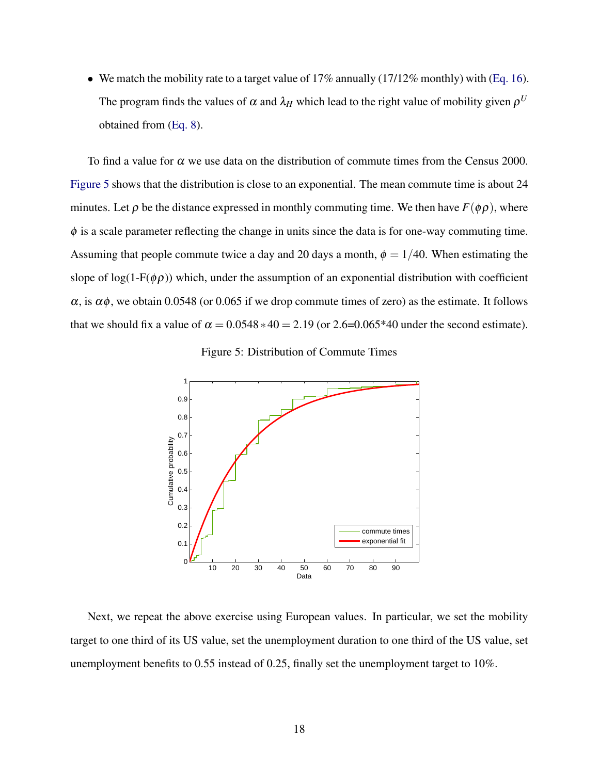• We match the mobility rate to a target value of  $17\%$  annually ( $17/12\%$  monthly) with [\(Eq. 16\)](#page-14-0). The program finds the values of  $\alpha$  and  $\lambda_H$  which lead to the right value of mobility given  $\rho^U$ obtained from [\(Eq. 8\)](#page-7-1).

To find a value for  $\alpha$  we use data on the distribution of commute times from the Census 2000. [Figure 5](#page-17-0) shows that the distribution is close to an exponential. The mean commute time is about 24 minutes. Let  $\rho$  be the distance expressed in monthly commuting time. We then have  $F(\phi \rho)$ , where  $\phi$  is a scale parameter reflecting the change in units since the data is for one-way commuting time. Assuming that people commute twice a day and 20 days a month,  $\phi = 1/40$ . When estimating the slope of  $log(1-F(\phi \rho))$  which, under the assumption of an exponential distribution with coefficient  $\alpha$ , is  $\alpha\phi$ , we obtain 0.0548 (or 0.065 if we drop commute times of zero) as the estimate. It follows that we should fix a value of  $\alpha = 0.0548 * 40 = 2.19$  (or 2.6=0.065\*40 under the second estimate).

<span id="page-17-0"></span>Figure 5: Distribution of Commute Times



Next, we repeat the above exercise using European values. In particular, we set the mobility target to one third of its US value, set the unemployment duration to one third of the US value, set unemployment benefits to 0.55 instead of 0.25, finally set the unemployment target to 10%.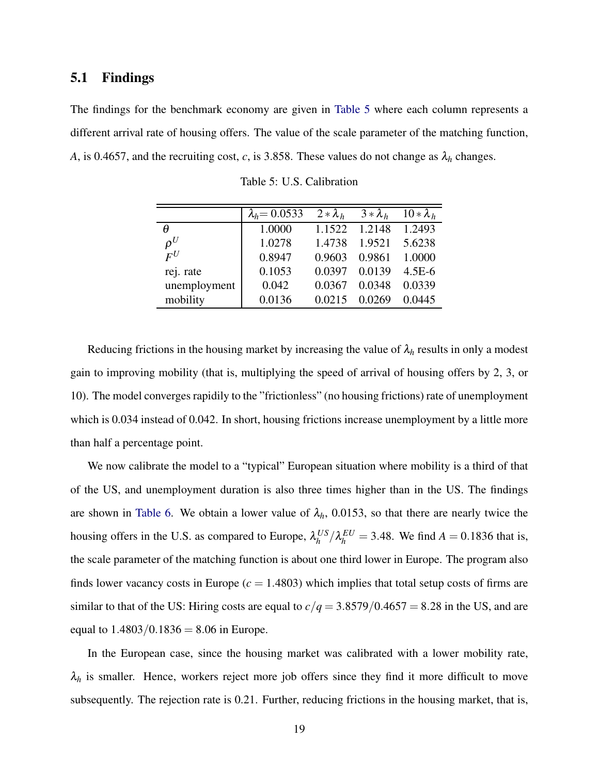#### 5.1 Findings

The findings for the benchmark economy are given in [Table 5](#page-18-0) where each column represents a different arrival rate of housing offers. The value of the scale parameter of the matching function, *A*, is 0.4657, and the recruiting cost, *c*, is 3.858. These values do not change as  $\lambda_h$  changes.

|              | $\lambda_h = 0.0533$ | $2 * \lambda_h$ | $3*\lambda_h$ | $10 * \lambda_h$ |
|--------------|----------------------|-----------------|---------------|------------------|
| A            | 1.0000               | 1.1522          | 1.2148        | 1.2493           |
| $\rho^U$     | 1.0278               | 1.4738          | 1.9521        | 5.6238           |
| $F^U$        | 0.8947               | 0.9603          | 0.9861        | 1.0000           |
| rej. rate    | 0.1053               | 0.0397          | 0.0139        | $4.5E-6$         |
| unemployment | 0.042                | 0.0367          | 0.0348        | 0.0339           |
| mobility     | 0.0136               | 0.0215          | 0.0269        | 0.0445           |

<span id="page-18-0"></span>Table 5: U.S. Calibration

Reducing frictions in the housing market by increasing the value of  $\lambda_h$  results in only a modest gain to improving mobility (that is, multiplying the speed of arrival of housing offers by 2, 3, or 10). The model converges rapidily to the "frictionless" (no housing frictions) rate of unemployment which is 0.034 instead of 0.042. In short, housing frictions increase unemployment by a little more than half a percentage point.

We now calibrate the model to a "typical" European situation where mobility is a third of that of the US, and unemployment duration is also three times higher than in the US. The findings are shown in [Table 6.](#page-19-0) We obtain a lower value of  $\lambda_h$ , 0.0153, so that there are nearly twice the housing offers in the U.S. as compared to Europe,  $\lambda_h^{US}$  $\frac{US}{h}/\lambda_h^{EU} = 3.48$ . We find *A* = 0.1836 that is, the scale parameter of the matching function is about one third lower in Europe. The program also finds lower vacancy costs in Europe  $(c = 1.4803)$  which implies that total setup costs of firms are similar to that of the US: Hiring costs are equal to  $c/q = 3.8579/0.4657 = 8.28$  in the US, and are equal to  $1.4803/0.1836 = 8.06$  in Europe.

In the European case, since the housing market was calibrated with a lower mobility rate,  $\lambda_h$  is smaller. Hence, workers reject more job offers since they find it more difficult to move subsequently. The rejection rate is 0.21. Further, reducing frictions in the housing market, that is,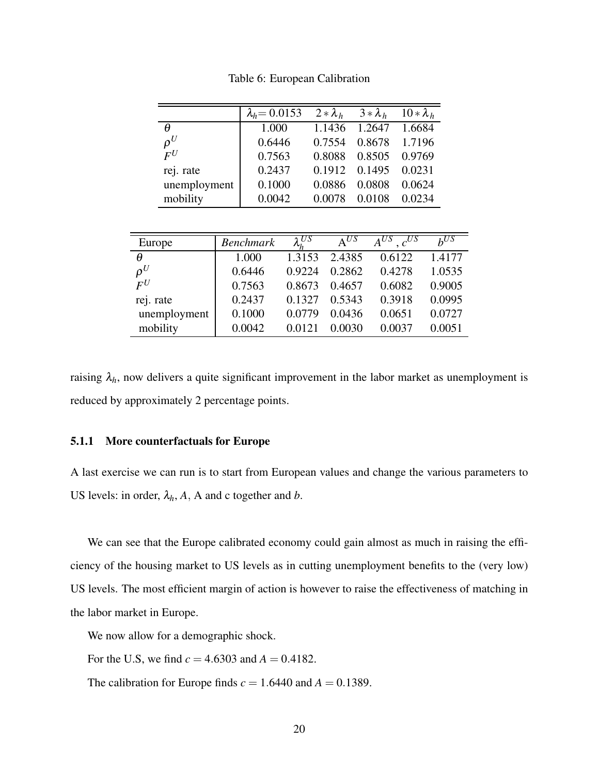|              | $\lambda_h = 0.0153$ | $2 * \lambda_h$ | $3*\lambda_h$ | $10 * \lambda_h$ |
|--------------|----------------------|-----------------|---------------|------------------|
| θ            | 1.000                | 1.1436          | 1.2647        | 1.6684           |
| $\rho^U$     | 0.6446               | 0.7554          | 0.8678        | 1.7196           |
| $F^U$        | 0.7563               | 0.8088          | 0.8505        | 0.9769           |
| rej. rate    | 0.2437               | 0.1912          | 0.1495        | 0.0231           |
| unemployment | 0.1000               | 0.0886          | 0.0808        | 0.0624           |
| mobility     | 0.0042               |                 | 0.0108        | 0.0234           |

<span id="page-19-0"></span>Table 6: European Calibration

| Europe       | <b>Benchmark</b> | $\lambda_h^{US}$ | $\Delta^{US}$ | $A^{US}$ , $c^{US}$ | $h^{U_5}$ |
|--------------|------------------|------------------|---------------|---------------------|-----------|
| $\theta$     | 1.000            | 1.3153           | 2.4385        | 0.6122              | 1.4177    |
| $\rho^U$     | 0.6446           | 0.9224           | 0.2862        | 0.4278              | 1.0535    |
| $F^U$        | 0.7563           | 0.8673           | 0.4657        | 0.6082              | 0.9005    |
| rej. rate    | 0.2437           | 0.1327           | 0.5343        | 0.3918              | 0.0995    |
| unemployment | 0.1000           | 0.0779           | 0.0436        | 0.0651              | 0.0727    |
| mobility     | 0.0042           | 0.0121           | 0.0030        | 0.0037              | 0.0051    |

raising  $\lambda_h$ , now delivers a quite significant improvement in the labor market as unemployment is reduced by approximately 2 percentage points.

#### 5.1.1 More counterfactuals for Europe

A last exercise we can run is to start from European values and change the various parameters to US levels: in order,  $\lambda_h$ , A, A and c together and *b*.

We can see that the Europe calibrated economy could gain almost as much in raising the efficiency of the housing market to US levels as in cutting unemployment benefits to the (very low) US levels. The most efficient margin of action is however to raise the effectiveness of matching in the labor market in Europe.

We now allow for a demographic shock.

For the U.S, we find  $c = 4.6303$  and  $A = 0.4182$ .

The calibration for Europe finds  $c = 1.6440$  and  $A = 0.1389$ .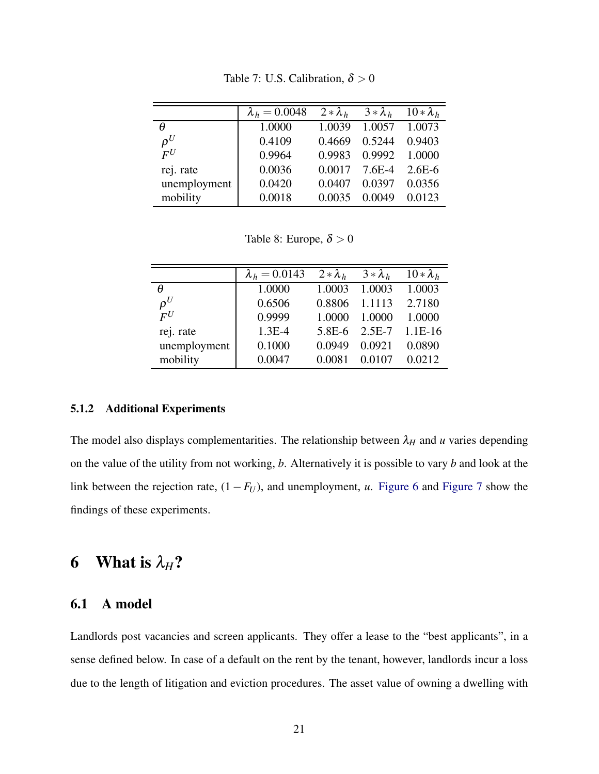|              | $\lambda_h = 0.0048$ | $2 * \lambda_h$ | $3*\lambda_h$ | $10 * \lambda_h$ |
|--------------|----------------------|-----------------|---------------|------------------|
| θ            | 1.0000               | 1.0039          | 1.0057        | 1.0073           |
| $\rho^U$     | 0.4109               | 0.4669          | 0.5244        | 0.9403           |
| $F^U$        | 0.9964               | 0.9983          | 0.9992        | 1.0000           |
| rej. rate    | 0.0036               | 0.0017          | $7.6E-4$      | $2.6E-6$         |
| unemployment | 0.0420               | 0.0407          | 0.0397        | 0.0356           |
| mobility     | 0.0018               | 0.0035          | 0.0049        | 0.0123           |

Table 7: U.S. Calibration,  $\delta > 0$ 

Table 8: Europe,  $\delta > 0$ 

|                   | $\lambda_h = 0.0143$ | $2 * \lambda_h$ | $3*\lambda_h$ | $10 * \lambda_h$ |
|-------------------|----------------------|-----------------|---------------|------------------|
| A                 | 1.0000               | 1.0003          | 1.0003        | 1.0003           |
| $\rho^U$          | 0.6506               | 0.8806          | 1.1113        | 2.7180           |
| $\bm{F}^{\bm{U}}$ | 0.9999               | 1.0000          | 1.0000        | 1.0000           |
| rej. rate         | $1.3E-4$             | 5.8E-6          | $2.5E-7$      | $1.1E-16$        |
| unemployment      | 0.1000               | 0.0949          | 0.0921        | 0.0890           |
| mobility          | 0.0047               | 0.0081          | 0.0107        | 0.0212           |

#### 5.1.2 Additional Experiments

The model also displays complementarities. The relationship between  $\lambda_H$  and *u* varies depending on the value of the utility from not working, *b*. Alternatively it is possible to vary *b* and look at the link between the rejection rate,  $(1 - F_U)$ , and unemployment, *u*. [Figure 6](#page-21-0) and [Figure 7](#page-21-1) show the findings of these experiments.

# 6 What is  $\lambda_H$ ?

### 6.1 A model

Landlords post vacancies and screen applicants. They offer a lease to the "best applicants", in a sense defined below. In case of a default on the rent by the tenant, however, landlords incur a loss due to the length of litigation and eviction procedures. The asset value of owning a dwelling with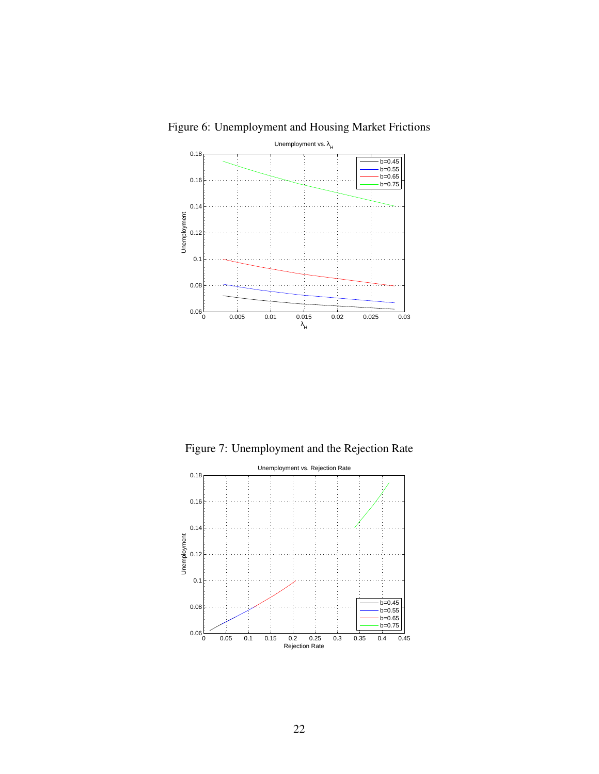<span id="page-21-0"></span>

Figure 6: Unemployment and Housing Market Frictions

<span id="page-21-1"></span>Figure 7: Unemployment and the Rejection Rate

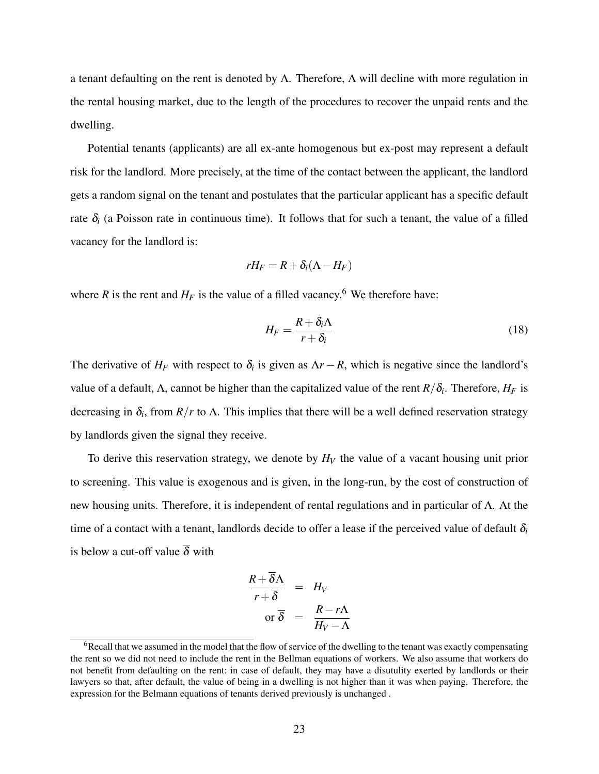a tenant defaulting on the rent is denoted by Λ. Therefore, Λ will decline with more regulation in the rental housing market, due to the length of the procedures to recover the unpaid rents and the dwelling.

Potential tenants (applicants) are all ex-ante homogenous but ex-post may represent a default risk for the landlord. More precisely, at the time of the contact between the applicant, the landlord gets a random signal on the tenant and postulates that the particular applicant has a specific default rate  $\delta_i$  (a Poisson rate in continuous time). It follows that for such a tenant, the value of a filled vacancy for the landlord is:

$$
rH_F=R+\delta_i(\Lambda-H_F)
$$

where *R* is the rent and  $H_F$  is the value of a filled vacancy.<sup>6</sup> We therefore have:

$$
H_F = \frac{R + \delta_i \Lambda}{r + \delta_i} \tag{18}
$$

The derivative of  $H_F$  with respect to  $\delta_i$  is given as  $\Delta r - R$ , which is negative since the landlord's value of a default,  $\Lambda$ , cannot be higher than the capitalized value of the rent  $R/\delta_i$ . Therefore,  $H_F$  is decreasing in  $\delta_i$ , from  $R/r$  to  $\Lambda$ . This implies that there will be a well defined reservation strategy by landlords given the signal they receive.

To derive this reservation strategy, we denote by *H<sup>V</sup>* the value of a vacant housing unit prior to screening. This value is exogenous and is given, in the long-run, by the cost of construction of new housing units. Therefore, it is independent of rental regulations and in particular of Λ. At the time of a contact with a tenant, landlords decide to offer a lease if the perceived value of default  $\delta_i$ is below a cut-off value  $\overline{\delta}$  with

$$
\frac{R + \overline{\delta}\Lambda}{r + \overline{\delta}} = H_V
$$
  
or  $\overline{\delta} = \frac{R - r\Lambda}{H_V - \Lambda}$ 

<sup>&</sup>lt;sup>6</sup>Recall that we assumed in the model that the flow of service of the dwelling to the tenant was exactly compensating the rent so we did not need to include the rent in the Bellman equations of workers. We also assume that workers do not benefit from defaulting on the rent: in case of default, they may have a disutulity exerted by landlords or their lawyers so that, after default, the value of being in a dwelling is not higher than it was when paying. Therefore, the expression for the Belmann equations of tenants derived previously is unchanged .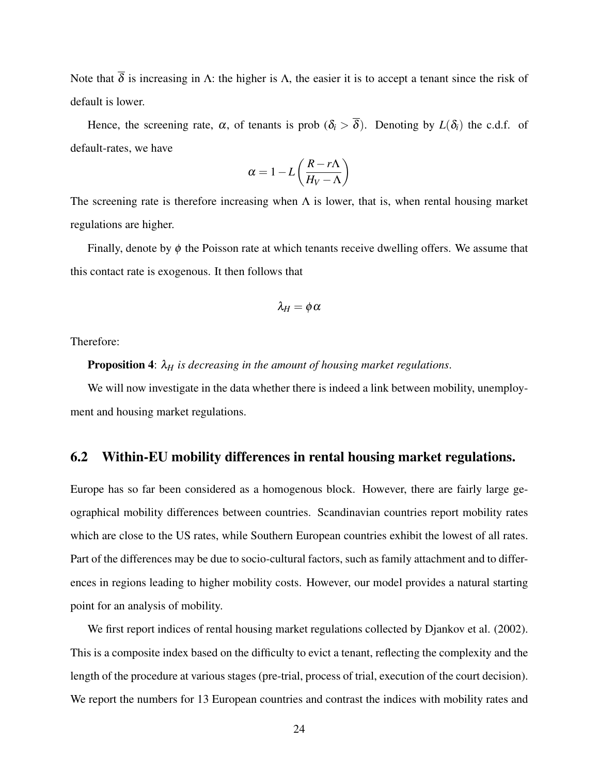Note that  $\overline{\delta}$  is increasing in Λ: the higher is Λ, the easier it is to accept a tenant since the risk of default is lower.

Hence, the screening rate,  $\alpha$ , of tenants is prob  $(\delta_i > \overline{\delta})$ . Denoting by  $L(\delta_i)$  the c.d.f. of default-rates, we have

$$
\alpha = 1 - L \left( \frac{R - r\Lambda}{H_V - \Lambda} \right)
$$

The screening rate is therefore increasing when  $\Lambda$  is lower, that is, when rental housing market regulations are higher.

Finally, denote by  $\phi$  the Poisson rate at which tenants receive dwelling offers. We assume that this contact rate is exogenous. It then follows that

$$
\lambda_H=\phi\,\alpha
$$

Therefore:

**Proposition 4:**  $\lambda_H$  *is decreasing in the amount of housing market regulations.* 

We will now investigate in the data whether there is indeed a link between mobility, unemployment and housing market regulations.

### 6.2 Within-EU mobility differences in rental housing market regulations.

Europe has so far been considered as a homogenous block. However, there are fairly large geographical mobility differences between countries. Scandinavian countries report mobility rates which are close to the US rates, while Southern European countries exhibit the lowest of all rates. Part of the differences may be due to socio-cultural factors, such as family attachment and to differences in regions leading to higher mobility costs. However, our model provides a natural starting point for an analysis of mobility.

We first report indices of rental housing market regulations collected by Djankov et al. (2002). This is a composite index based on the difficulty to evict a tenant, reflecting the complexity and the length of the procedure at various stages (pre-trial, process of trial, execution of the court decision). We report the numbers for 13 European countries and contrast the indices with mobility rates and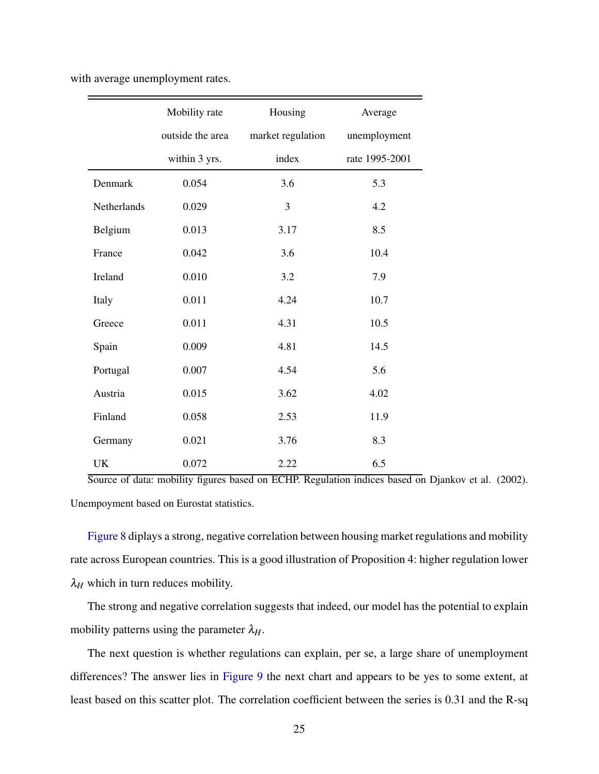with average unemployment rates.

|             | Mobility rate    | Housing           | Average        |
|-------------|------------------|-------------------|----------------|
|             | outside the area | market regulation | unemployment   |
|             | within 3 yrs.    | index             | rate 1995-2001 |
| Denmark     | 0.054            | 3.6               | 5.3            |
| Netherlands | 0.029            | 3                 | 4.2            |
| Belgium     | 0.013            | 3.17              | 8.5            |
| France      | 0.042            | 3.6               | 10.4           |
| Ireland     | 0.010            | 3.2               | 7.9            |
| Italy       | 0.011            | 4.24              | 10.7           |
| Greece      | 0.011            | 4.31              | 10.5           |
| Spain       | 0.009            | 4.81              | 14.5           |
| Portugal    | 0.007            | 4.54              | 5.6            |
| Austria     | 0.015            | 3.62              | 4.02           |
| Finland     | 0.058            | 2.53              | 11.9           |
| Germany     | 0.021            | 3.76              | 8.3            |
| UK          | 0.072            | 2.22              | 6.5            |

Source of data: mobility figures based on ECHP. Regulation indices based on Djankov et al. (2002). Unempoyment based on Eurostat statistics.

[Figure 8](#page-25-0) diplays a strong, negative correlation between housing market regulations and mobility rate across European countries. This is a good illustration of Proposition 4: higher regulation lower  $\lambda_H$  which in turn reduces mobility.

The strong and negative correlation suggests that indeed, our model has the potential to explain mobility patterns using the parameter  $\lambda_H$ .

The next question is whether regulations can explain, per se, a large share of unemployment differences? The answer lies in [Figure 9](#page-26-0) the next chart and appears to be yes to some extent, at least based on this scatter plot. The correlation coefficient between the series is 0.31 and the R-sq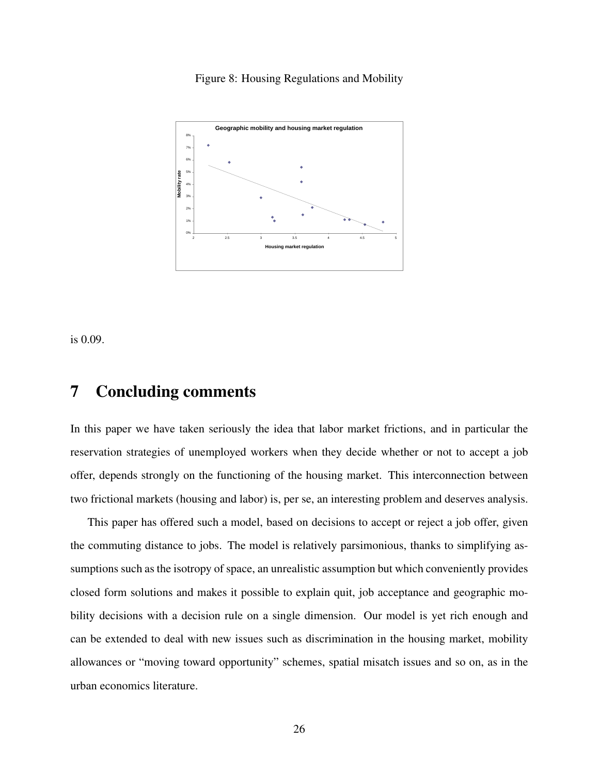<span id="page-25-0"></span>Figure 8: Housing Regulations and Mobility



is 0.09.

## 7 Concluding comments

In this paper we have taken seriously the idea that labor market frictions, and in particular the reservation strategies of unemployed workers when they decide whether or not to accept a job offer, depends strongly on the functioning of the housing market. This interconnection between two frictional markets (housing and labor) is, per se, an interesting problem and deserves analysis.

This paper has offered such a model, based on decisions to accept or reject a job offer, given the commuting distance to jobs. The model is relatively parsimonious, thanks to simplifying assumptions such as the isotropy of space, an unrealistic assumption but which conveniently provides closed form solutions and makes it possible to explain quit, job acceptance and geographic mobility decisions with a decision rule on a single dimension. Our model is yet rich enough and can be extended to deal with new issues such as discrimination in the housing market, mobility allowances or "moving toward opportunity" schemes, spatial misatch issues and so on, as in the urban economics literature.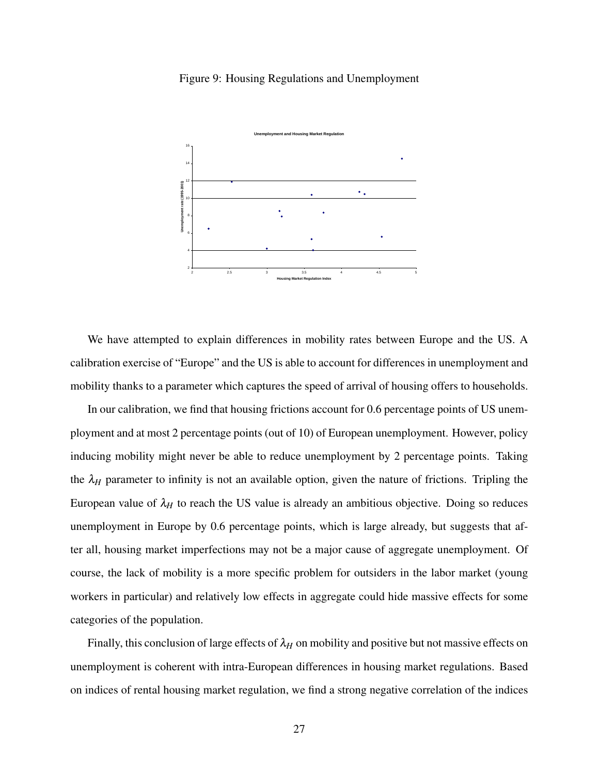#### <span id="page-26-0"></span>Figure 9: Housing Regulations and Unemployment



We have attempted to explain differences in mobility rates between Europe and the US. A calibration exercise of "Europe" and the US is able to account for differences in unemployment and mobility thanks to a parameter which captures the speed of arrival of housing offers to households.

In our calibration, we find that housing frictions account for 0.6 percentage points of US unemployment and at most 2 percentage points (out of 10) of European unemployment. However, policy inducing mobility might never be able to reduce unemployment by 2 percentage points. Taking the  $\lambda_H$  parameter to infinity is not an available option, given the nature of frictions. Tripling the European value of  $\lambda_H$  to reach the US value is already an ambitious objective. Doing so reduces unemployment in Europe by 0.6 percentage points, which is large already, but suggests that after all, housing market imperfections may not be a major cause of aggregate unemployment. Of course, the lack of mobility is a more specific problem for outsiders in the labor market (young workers in particular) and relatively low effects in aggregate could hide massive effects for some categories of the population.

Finally, this conclusion of large effects of  $\lambda_H$  on mobility and positive but not massive effects on unemployment is coherent with intra-European differences in housing market regulations. Based on indices of rental housing market regulation, we find a strong negative correlation of the indices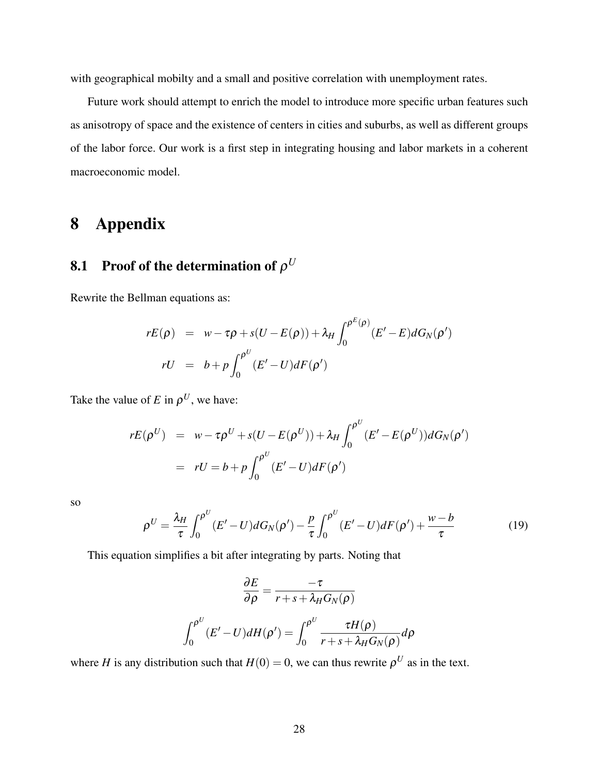with geographical mobilty and a small and positive correlation with unemployment rates.

Future work should attempt to enrich the model to introduce more specific urban features such as anisotropy of space and the existence of centers in cities and suburbs, as well as different groups of the labor force. Our work is a first step in integrating housing and labor markets in a coherent macroeconomic model.

# 8 Appendix

# **8.1** Proof of the determination of  $\rho^U$

Rewrite the Bellman equations as:

$$
rE(\rho) = w - \tau \rho + s(U - E(\rho)) + \lambda_H \int_0^{\rho^E(\rho)} (E' - E) dG_N(\rho')
$$
  

$$
rU = b + p \int_0^{\rho^U} (E' - U) dF(\rho')
$$

Take the value of *E* in  $\rho^U$ , we have:

$$
rE(\rho^U) = w - \tau \rho^U + s(U - E(\rho^U)) + \lambda_H \int_0^{\rho^U} (E' - E(\rho^U)) dG_N(\rho')
$$
  
= 
$$
rU = b + p \int_0^{\rho^U} (E' - U) dF(\rho')
$$

so

$$
\rho^U = \frac{\lambda_H}{\tau} \int_0^{\rho^U} (E' - U) dG_N(\rho') - \frac{p}{\tau} \int_0^{\rho^U} (E' - U) dF(\rho') + \frac{w - b}{\tau}
$$
(19)

This equation simplifies a bit after integrating by parts. Noting that

$$
\frac{\partial E}{\partial \rho} = \frac{-\tau}{r + s + \lambda_H G_N(\rho)}
$$

$$
\int_0^{\rho^U} (E' - U) dH(\rho') = \int_0^{\rho^U} \frac{\tau H(\rho)}{r + s + \lambda_H G_N(\rho)} d\rho
$$

where *H* is any distribution such that  $H(0) = 0$ , we can thus rewrite  $\rho^U$  as in the text.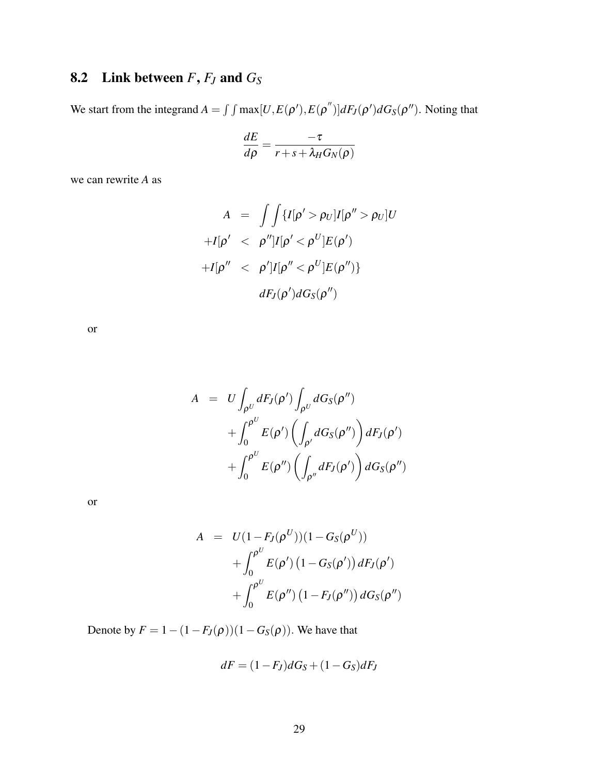# 8.2 Link between  $F$ ,  $F$ *J* and  $G$ <sup>S</sup>

We start from the integrand  $A = \int \int \max[U, E(\rho'), E(\rho'')] dF_J(\rho') dG_S(\rho'')$ . Noting that

$$
\frac{dE}{d\rho} = \frac{-\tau}{r + s + \lambda_H G_N(\rho)}
$$

we can rewrite *A* as

$$
A = \int \int \{I[\rho' > \rho_U]I[\rho'' > \rho_U]U
$$

$$
+I[\rho' < \rho'']I[\rho' < \rho^U]E(\rho')
$$

$$
+I[\rho'' < \rho']I[\rho'' < \rho^U]E(\rho'')\}
$$

$$
dF_J(\rho')dG_S(\rho'')
$$

or

$$
A = U \int_{\rho^U} dF_J(\rho') \int_{\rho^U} dG_S(\rho'')
$$
  
+ 
$$
\int_0^{\rho^U} E(\rho') \left( \int_{\rho'} dG_S(\rho'') \right) dF_J(\rho')
$$
  
+ 
$$
\int_0^{\rho^U} E(\rho'') \left( \int_{\rho''} dF_J(\rho') \right) dG_S(\rho'')
$$

or

$$
A = U(1 - F_J(\rho^U))(1 - G_S(\rho^U))
$$
  
+  $\int_0^{\rho^U} E(\rho') (1 - G_S(\rho')) dF_J(\rho')$   
+  $\int_0^{\rho^U} E(\rho'') (1 - F_J(\rho'')) dG_S(\rho'')$ 

Denote by  $F = 1 - (1 - F_J(\rho))(1 - G_S(\rho))$ . We have that

$$
dF = (1 - F_J)dG_S + (1 - G_S)dF_J
$$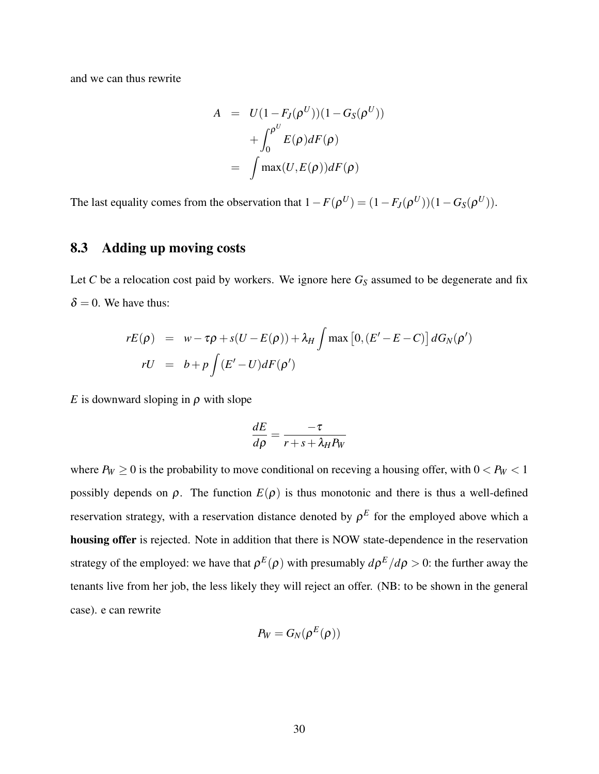and we can thus rewrite

$$
A = U(1 - F_J(\rho^U))(1 - G_S(\rho^U))
$$

$$
+ \int_0^{\rho^U} E(\rho) dF(\rho)
$$

$$
= \int \max(U, E(\rho)) dF(\rho)
$$

The last equality comes from the observation that  $1 - F(\rho^U) = (1 - F_J(\rho^U))(1 - G_S(\rho^U))$ .

### 8.3 Adding up moving costs

Let  $C$  be a relocation cost paid by workers. We ignore here  $G_S$  assumed to be degenerate and fix  $\delta = 0$ . We have thus:

$$
rE(\rho) = w - \tau \rho + s(U - E(\rho)) + \lambda_H \int \max [0, (E' - E - C)] dG_N(\rho')
$$
  

$$
rU = b + p \int (E' - U) dF(\rho')
$$

*E* is downward sloping in  $\rho$  with slope

$$
\frac{dE}{d\rho} = \frac{-\tau}{r + s + \lambda_H P_W}
$$

where  $P_W \ge 0$  is the probability to move conditional on receving a housing offer, with  $0 < P_W < 1$ possibly depends on  $\rho$ . The function  $E(\rho)$  is thus monotonic and there is thus a well-defined reservation strategy, with a reservation distance denoted by  $\rho^E$  for the employed above which a housing offer is rejected. Note in addition that there is NOW state-dependence in the reservation strategy of the employed: we have that  $\rho^{E}(\rho)$  with presumably  $d\rho^{E}/d\rho > 0$ : the further away the tenants live from her job, the less likely they will reject an offer. (NB: to be shown in the general case). e can rewrite

$$
P_W = G_N(\rho^E(\rho))
$$